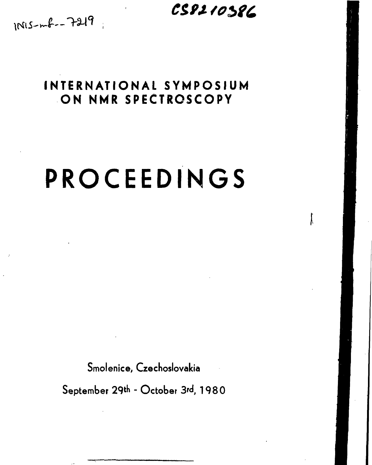# CS8210386

 $1NIS-mf=-7219$ 

# **INTERNATIONAL SYMPOSIUM ON NMR SPECTROSCOPY**

# **PROCEEDINGS**

**Smolenice, Czechoslovakia**

September 29th - October 3rd, 1980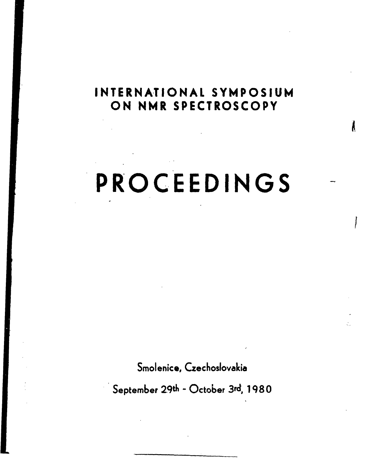# **INTERNATIONAL SYMPOSIUM ON NMR SPECTROSCOPY**

À

# **PROCEEDINGS**

**Smolenice, Czechoslovakia**

September 29th - October 3rd, 1980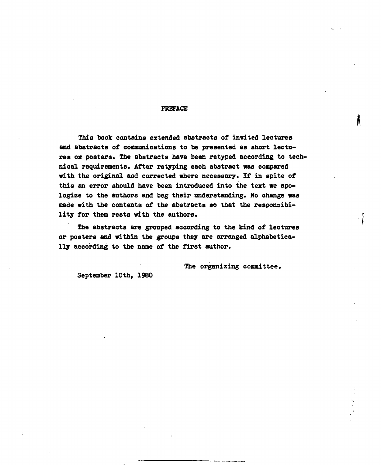#### **PREFACE**

**This book contains extended abstracts of invited lectures and abstracts of communications to be presented as abort lectures or posters. The abstracts have been retyped according to technical requirements. After retyping each abstract «as compared with the original and corrected where necessary. If in spite of this an error should have been introduced into the text we apologize to the authors and beg their understanding. No change was made with the contents of the abstracts so that the responsibility for them rests with the authors.**

**The abstracts are grouped according to the kind of lectures or posters and within the groups they are arranged alphabetically according to the name of the first author.**

**The organizing committee.**

**September 10th, 1980**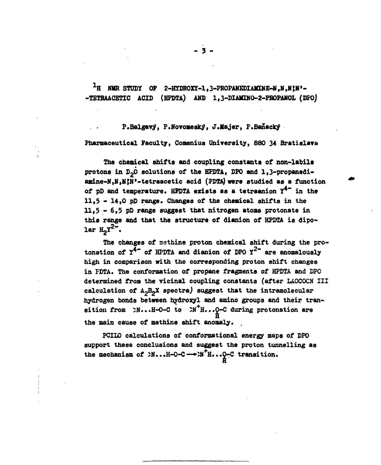<sup>1</sup>H NMR STUDY OF 2-HYDROXY-1, 3-PROPANEDIAMINE-M, N, N; N'--TETRAACETIC ACID (HPDTA) AND 1,3-DIAMINO-2-PROPANOL (DPO)

P.Balgavý, P.Novomeský, J.Majer, P.Banacký **Pharmaceutical Faculty, Conenius University, 880 34 Bratislava**

**The chemical shifts and coupling constants of non-labile** protons in D<sub>2</sub>O solutions of the HPDTA, DPO and 1,3-propanedi**amine-N,N,NjN»-tetraacetic acid (FDTA) were studied as a function of pD and temperature. HPDTA exists as a tetraanion Y\*~ in the 11,5 - 14,0 pD range. Changes of the chemical shifts in the 11,3 - 6,5 pD range suggest that nitrogen atoms protonate in this range and that the structure of dianion of HPDTA is dipolar <sup>2</sup>"**

**The changes of nethine proton chemical shift during the pro**tonation of  $Y^{\hat{4}^-}$  of HPDTA and dianion of DPO  $Y^{2-}$  are anomalously **high in comparison with the corresponding proton shift changes in FDTA. The conformation of propane fragments of HPDTA and DPO determined from the vicinal coupling constants (after LAOCOCN III calculation of A-BgX spectraj suggest that the intramolecular hydrogen bonds between hydroxyl and amino groups and their tran**sition from  $>N...H-O-C$  to  $2N^+H...Q-C$  during protonation are **the main cause of methine shift anomaly. .**

**PCILO calculations of conformational energy maps of DPO support these conclusions and suggest the proton tunnelling as the mechanism of 5N...H-0-C—»5N<sup>+</sup>H...0-C transition.**

**H**

- 3 -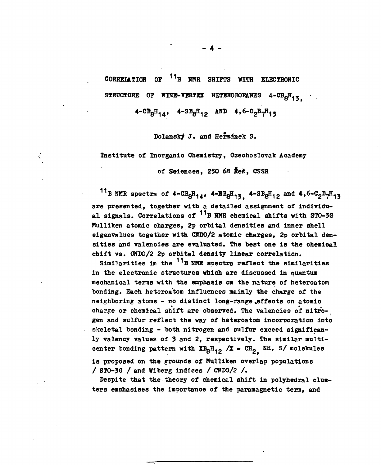**CORRELATION OF <sup>11</sup>B NMR SHIFTS WITH ELECTRONIC** STRUCTURE OF NINE-VERTEX HETEROBORANES 4-CB<sub>8</sub>H<sub>13</sub>

 $4-\text{CB}_8\text{H}_{14}$ ,  $4-\text{SB}_8\text{H}_{12}$  AND  $4.6-\text{C}_2\text{B}_7\text{H}_{13}$ 

**Dolansky J. and Hermanek S.**

**Institute of Inorganic Chemistry, Czechoslovak Academy**

 $\frac{1}{2}$ 

of Sciences, 250 68 Rež, CSSR

<sup>11</sup>B NMR spectra of  $4-\text{CB}_{8}H_{14}$ ,  $4-\text{BB}_{8}H_{13}$ ,  $4-\text{SB}_{8}H_{12}$  and  $4.6-\text{C}_{2}B_{7}H_{13}$ **are presented, together with a detailed assignment of individu**al signals. Correlations of <sup>11</sup>B NMR chemical shifts with STO-3G **Mulliken atomic charges, 2p orbital densities and inner shell eigenvalues together with CNDO/2 atomic charges, 2p orbital densities and valencies are evaluated. The best one is the chemical chift vs. CNDO/2 2p orbital density linear correlation.**

Similarities in the <sup>11</sup>B NMR spectra reflect the similarities **in the electronic structures which are discussed in quantum mechanical terms with the emphasis on the nature of heteroatom** bonding. Each heteroatom influences mainly the charge of the **neighboring atoms - no distinct long-range «effects on atomic charge or chemical shift are observed. The valencies of nitro-^ gen and sulfur reflect the way of heteroatom incorporation into** skeletal bonding - both nitrogen and sulfur exceed significan**ly valency values of 3 and 2, respectively. The similar multi**center bonding pattern with  $XB_{B}H_{12} / I = CH_{2} NH$ , S/ molekules **is proposed on the grounds of Mulliken overlap populations / ST0-3G / and Wiberg indices / CNDO/2 /.**

**Despite that the theory of chemical shift in polyhedral clusters emphasises the importance of the paramagnetic term, and**

- 4 -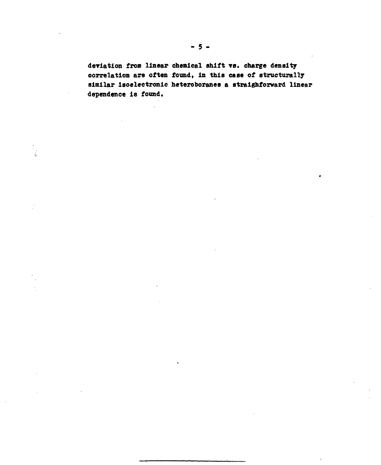**deriation from linear chemical shift YS . charge density correlation are often found, in this case of structurally similar Isoelectronlc heteroboranes a straighforward linear dependence is found.**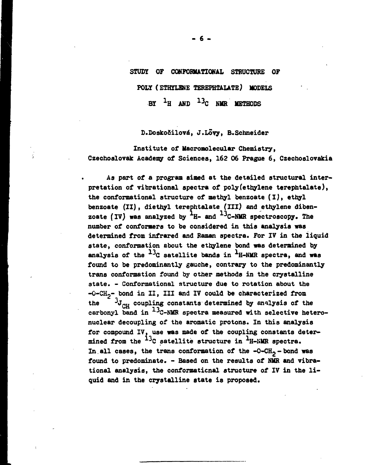#### STUDY OF CONFORMATIONAL STRUCTURE OF

**POLY (ETHYLENE TEREPHTALATE) MODELS**

**BY <sup>X</sup> H AND 13,C NMR METHODS**

**D.DoskoSilové, J.Lovy, B.Schneider**

**Institute of Macrooolecular Chemistry, Czechoslovak Academy of Sciences, 162 06 Prague 6, Czechoslovakia**

**As part of a program aimed at the detailed structural interpretation of vibrational spectra of polyfethylene terephtalate), the conformational structure of methyl benzoate (I), ethyl benzoate (II), diethyl terephtalate (III) and ethylene diben**zoate (IV) was analyzed by <sup>1</sup>H- and <sup>13</sup>C-NMR spectroscopy. The **number of conformers to be considered in this analysis was determined from infrared and Raman spectra. For IV in the liquid state, conformation about the ethylene bond was determined by** analysis of the <sup>13</sup>C satellite bands in <sup>1</sup>H-NMR spectra, and was **found to be predominantly gauche, contrary to the predominantly trans conformation found by other methods in the crystalline state. - Conformational structure due to rotation about the -O-CH2- bond in II, III and IV could be characterized from** the  $\frac{3}{4}J_{\text{out}}$  coupling constants determined by analysis of the **carbonyl band in <sup>J</sup>C-NMR spectra measured with selective heteronuclear decoupling of the aromatic protons. In this analysis for compound IV, use was made of the coupling constants determined from the ^C satellite structure in H-NMR spectra.** In all cases, the trans conformation of the -O-CH<sub>2</sub> - bond was **found to predominate. - Based on the results of NMR and vibrational analysis, the conformaticnal structure of IV in the liquid and in the crystalline state is proposed.**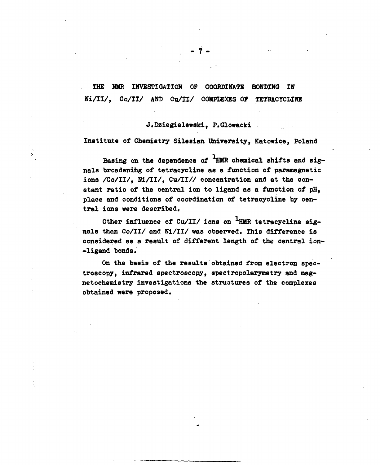**THE NMR INVESTIGATION OF COORDINATE BONDING IN Ni/II/, Co/II/ AND Cu/II/ COMPLEXES OP TETHACYCLINE**

#### **J.Dziegielewski, P.Glowacki**

#### **Institute of Chemistry Sileaian Uhiversity, Katowice, Poland**

**Basing on the dependence of HMR chemical shifts and signals broadening of tetracycline as a function of paramagnetic** ions /Co/II/, Ni/II/, Cu/II// concentration and at the con**stant ratio of the central ion to ligand as a function of pH, place and conditions of coordination of tetracycline by central ions were described.**

Other influence of Cu/II/ ions on <sup>1</sup>HMR tetracycline signals than Co/II/ and Ni/II/ was observed. This difference is **considered as a result of different length of the central ion- -ligand bonds.**

**On the basis of the results obtained from electron spectroscopy, infrared spectroscopy, spectropolarymetry and magnetochemistry investigations the structures of the complexes obtained were proposed.**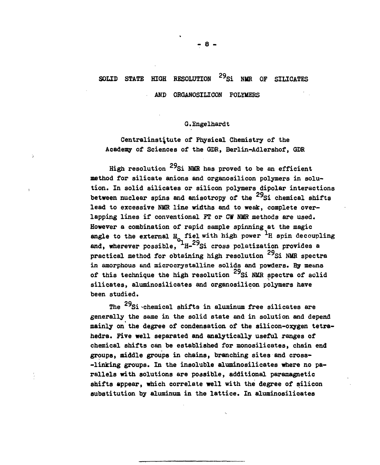#### SOLID STATE HIGH **<sup>29</sup>Si NMR OF SILICATES**

**AND ORGANOSILICON POLYMERS**

#### **G.Engelhardt**

**Centralinstitute of Physical Chemistry of the Academy of Sciences of the GDR, Berlin-Adlershof, GDR**

**High resolution <sup>7</sup>Si NUB has proved to be an efficient method for silicate anions and organosilicon polymers in solution. In solid silicates or silicon polymers dipolar interactions** between nuclear spins and anisotropy of the <sup>29</sup>Si chemical shifts lead to excessive NMR line widths and to weak, complete overlapping lines if conventional FT or CW NMR methods are used. However a combination of rapid sample spinning at the magic engle to the external **H** fiel with high nower <sup>1</sup>H enin decoy **angle to the external En fiel with high power <sup>1</sup> H spin decoupling** <sup>1</sup>#-29 **and, wherever possible, H- Si cross polatization provides a practical method for obtaining high resolution** <sup>29</sup>Si NMR spectra **in amorphous and microcrystalline solids and powders. By means** of this technique the high resolution <sup>29</sup>Si NMR spectra of solid **silicates, aluminosilicates and organosilicon polymers have been studied.**

on **The Si -chemical shifts in aluminum free silicates are generally the same in the solid state and in solution and depend** mainly on the degree of condensation of the silicon-oxygen tetra**hedra. Five well separated and analytically useful ranges of chemical shifts can be established for monosilicates, chain end groups, middle groups in chains, branching sites and cross- -linking groups. In the insoluble aluminosilicates where no parallels with solutions are possible, additional paramagnetic shifts appear, which correlate well with the degree of silicon substitution by aluminum in the lattice. In aluminosilicates**

**- 8 -**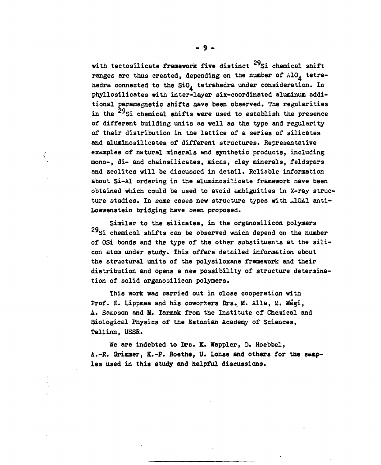**with tectosilicate framework five distinct <sup>7</sup>Si chemical shift** ranges are thus created, depending on the number of  $A10<sub>4</sub>$  tetrahedra connected to the SiO<sub>4</sub> tetrahedra under consideration. In phyllosilicates with inter-layer six-coordinated aluminum additional paramagnetic shifts have been observed. The regularities in the <sup>29</sup>Si chemical shifts were used to establish the presence of different building units as well as the type and regularity of their distribution in the lattice of a series of silicates and aluminosilicates of different structures. Representative examples of natural minerals and synthetic products, including mono-, di- and chainsilicates, micas, clay minerals, feldspars and zeolites will be discussed in detail. Reliable information about Si-Al ordering in the aluminosilicate framework have been obtained which could be used to avoid ambiguities in X-ray structure studies. In some cases new structure types with AlOAl anti-Loewenstein bridging have been proposed. **Loewenstein bridging have been proposed.**

Ŷ

**Similar to the silicates, in the organosilicon polymers** 2Q**<sup>7</sup>Si chemical shifts can be observed which depend on the number of OSi bonds and the type of the other substituents at the silicon atom under study. This offers detailed information about the structural units of the polysiloxane framework and their distribution and opens a new possibility of structure determination of solid organosilicon polymers.**

**This work was carried out in close cooperation with** Prof. E. Lippmaa and his coworkers Drs. M. Alla, M. Magi, **A. Samoson and M. Tarmak from the Institute of Chemical and Biological Physics of the Estonian Academy of Sciences, Tallinn, USSR.**

**We are indebted to Drs. K. Wappler, D. Hoebbel, A.-R. Grimmer, K.-P. Roethe, U. Lohse and others for the samp\* les used in this study and helpful discussions.**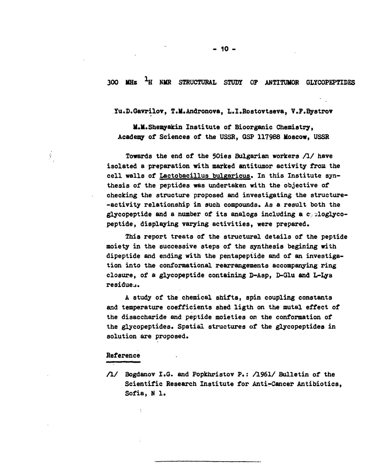**300 MHz <sup>1</sup> H NMR STRUCTURAL STUDY OF ANTITUMOR GLYCOPEPTIDES**

**Yu.D.Gavrilov, T.M.Andronova, L.I.Rostovtseva, V.F.Bystrov**

**M.M.Shemyakin Institute of Bioorganic Chemistry, Academy of Sciences of the USSR, GSP 117988 Moscow, USSR**

**Towards the end of the 50ies Bulgarian workers /I/ have isolated a preparation with marked antitumor activity from the cell walls of Lactobacillus bulgaricus. In this Institute synthesis of the peptides was undertaken with the objective of checking the structure proposed and investigating the structure- -activity relationship in such compounds. As a result both the glycopeptide and a number of its analogs including a c,^loglycopeptide, displaying varying activities, were prepared.**

**This report treats of the structural details of the peptide moiety in the successive steps of the synthesis begining with dipeptide and ending with the pentapeptide and of an investigation into the conformational rearrangements accompanying ring closure, of a glycopeptide containing D-Asp, D-Glu and L-Lya residue^.**

**A study of the chemical shifts, spin coupling constants and temperature coefficients shed ligth on the mutal effect of the disaccharide and peptide moieties on the conformation of the glycopeptides. Spatial structures of the glycopeptides in solution are proposed.**

#### **Reference**

**/!/ Bogdanov I.G. and Popkhristov P.: /I961/ Bulletin of the Scientific Research Institute for Anti-Cancer Antibiotics, Sofia, N 1.**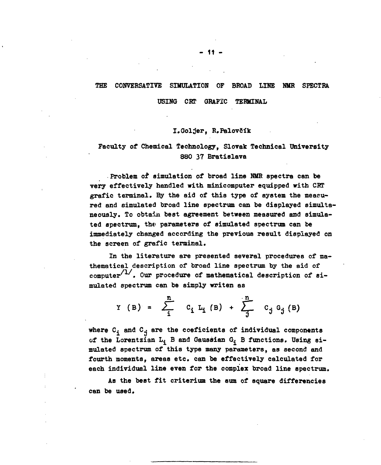#### **THE CONVERSATIVE SIMULATION OF BROAD LINE NUB SPECTRA**

**USING CRT GRAFIC TERMINAL**

#### **I.Golfer, R.Palovöïk**

# **Faculty of Chemical Technology, Slovak Technical University 880 37 Bratislava**

**Problem of simulation of broad line NMR spectra can be very effectively handled with minicomputer equipped with CRT grafie terminal. By the aid of this type of system the measured and simulated broad line spectrum can be displayed simultaneously. To obtain best agreement between measured and simula**ted spectrum, the parameters of simulated spectrum can be **immediately changed according the previous result displayed on the screen of grafie terminal.**

**In the literature are presented several procedures of mathematical description of broad line spectrum by the aid of** computer<sup>/1/</sup>. Our procedure of mathematical description of si**mulated spectrum can be simply writen as**

> **n n Y** (B) =  $\sum$  **C**<sub>i</sub> L<sub>i</sub> (B) +  $\sum$  C<sub>j</sub> G<sub>j</sub> (B)

where  $C_i$  and  $C_j$  are the coeficients of individual components of the Lorentzian L<sub>i</sub> B and Gaussian G<sub>i</sub> B functions. Using si**mulated spectrum of this type many parameters, as second and fourth moments, areas etc. can be effectively calculated for each individual line even for the complex broad line spectrum.**

**As the best fit criterium the sum of square differencies can be used.**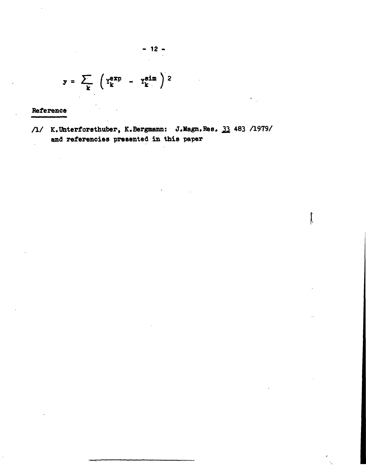$$
y = \sum_{k} \left( Y_k^{exp} - Y_k^{sin} \right)^2
$$

**Reference**

**/l/ K.Uhterforstbuber, K.Bergmann: J.Magn.Ree. 21 483 A979/ and referencies presented in this paper**

**- 12 -**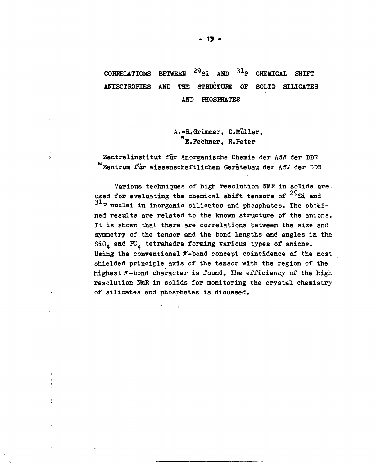#### CORRELATIONS BETWEEN  $^{29}$ Si AND  $31<sub>P</sub>$  CHEMICAL SHIFT ANISOTROPIES AND THE STRUCTURE OF SOLID SILICATES AND PHOSPHATES

A.-R.Grimmer, D.Muller, E.Fechner, R.Peter

Zentralinstitut für Anorganische Chemie der AdW der DDR a<br>Zentrum für wissenschaftlichen Gerätebau der AdW der EDR

l.

Various techniques of high resolution NMR in solids are. used for evaluating the chemical shift tensors of  $^{29}$ Si and  ${}^{31}$ P nuclei in inorganic silicates and phosphates. The obtained results are related to the known structure of the anicns. It is shown that there are correlations between the size and symmetry of the tensor and the bond lengths and angles in the  $SiO<sub>A</sub>$  and PO<sub>A</sub> tetrahedra forming various types of anions. Using the conventional  $\pi$ -bond concept coincidence of the most shielded principle axis of the tensor with the region of the highest  $\pi$ -bond character is found. The efficiency of the high resolution NMR in solids for monitoring the crystal chemistry of silicates and phosphates is dicussed.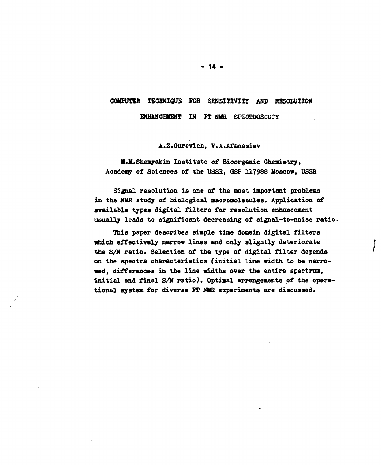# **COMPUTER TECHNIQUE FOR SENSITIVITY AND RESOLUTION**

**ENHANCEMENT IN FT NMR SPECTROSCOPY** 

**A.Z.Gurevich, V.A.Afanasiev**

**M.M.Shemyakin Institute of Bioorganic Chemistry, Academy of Sciences of the USSR, GSF 117988 Moscow, USSR**

**Signal resolution is one of the most important problems** in the NMR study of biological macromolecules. Application of **available types digital filters for resolution enhancement usually leads to significant decreasing of signal-to-noise ratio**

**This paper describes simple time domain digital filters which effectively narrow lines and only slightly deteriorate the S/N ratio. Selection of the type of digital filter depends on the spectra characteristics (initial line width to be narrowed, differences in the line widths over the entire spectrum, initial and final S/N ratio). Optimal arrangements of the operational system for diverse FT NMR experiments are discussed.**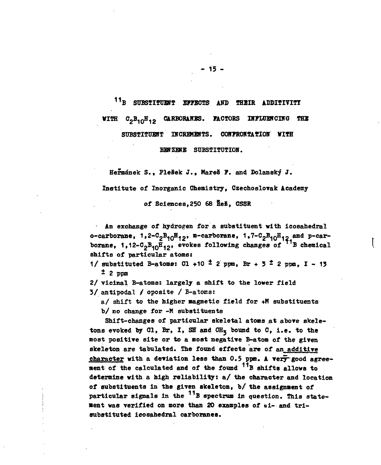**1 1B SUBSTITUBfT EFFECTS AND THEIB, ADDITIVITT VITR C2B1 0H12 CARBOBAHES. FACTORS IHFLUECCING TEE**

**SUBSTITUBfT INCREMENTS. CONFRONTATION WITH**

**BBNZEHE SUBSTITUTION.**

**Hermének S., Pleöek J., Hareë ?. and Dolansky J.**

**Institute of Inorganic Chemistry, Czechoslovak Academy**

**of Sciences,250 68 fiei, CSSR**

**An exchange of hydrogen for a substituent with icosahedral o-carborane, 1,2-C2B10H12» m-carborane, 1,7-C2B10H12 and p-car**borane, 1,12-C<sub>2</sub>B<sub>10</sub>H<sub>12</sub>, evokes following changes of <sup>71</sup>B chemical **shifts of particular atoms:**

**1/** substituted B-atoms: Cl +10<sup> $t$ </sup> 2 ppm, Br + 3<sup> $t$ </sup> 2 ppm, I - 13 **i 2 ppm**

**2/ vicinal B-atoms: largely a shift to the lower field 3/ antipodal / oposite / B-atoms:**

a/ shift to the higher magnetic field for +M substituents

**b/ no change for -M substituents**

**Shift-changes of particular skeletal atoms at above skele**tons evoked by Cl, Br, I, SH and CH<sub>3</sub> bound to C, i.e. to the **most positive site or to a most negative B-atom of the given skeleton are tabulated. The found effects are of an additive** character with a deviation less than 0.5 ppm. A very good agree**ment of the calculated and of the found <sup>11</sup>B shifts allows to determine with a high reliability: a/ the character and location of substituents in the given skeleton, b/ the assignment of** particular signals in the <sup>11</sup>B spectrum in question. This state**ment was verified on more than 20 examples of «i- and trisubstituted icosahedral carboranes.**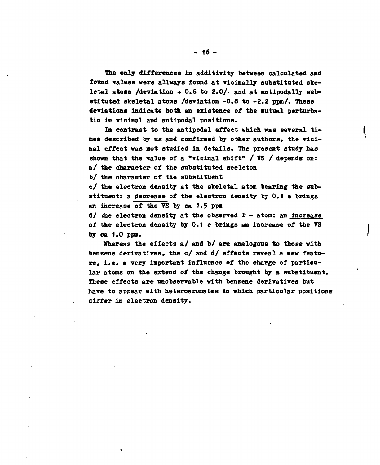**the only differences In additirity between calculated and found values were allways found at vicinally substituted skeletal atoms /deviation +0.6 to 2.0/ and at antipodally substituted skeletal atoms /deviation -0.8 to -2.2 ppm/. These deviations indicate both an existence of the mutual perturbatio in vicinal and antipodal positions.**

**In contrast to the antipodal effect which was several times described by us and confirmed by other authors, the vicinal effect was not studied in details. The present study has shown that the value of a "vicinal shift" / TS / depends on: a/ the character of the substituted sceleton**

**b/ the character of the substituent**

**c/ the electron density at the skeletal atom bearing the substituent: a decrease of the electron density by 0.1 e brings an increase of the ?S by ca 1.? ppm**

**d/ che electron density at the observed B - atom: an increase of the electron density by 0.1 e brings an Increase of the VS by ca 1.0 ppm.**

**Yhereas the effects a/ and b/ are analogous to those with** benzene derivatives, the c/ and d/ effects reveal a new featu**re, i.e. a very important influence of the charge of particular atoms on the extend of the change brought by a substituent. These effects are unobservable with benzene derivatives but have to appear with heteroaromates in which particular positions differ in electron density.**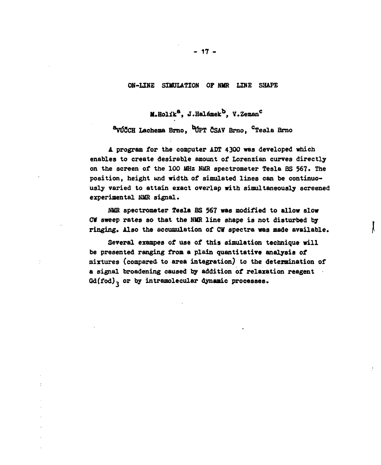#### **ON-LINE SIMULATION OF NMR LINE SHAPE**

**M.Holik<sup>8</sup>, J.Halamek<sup>b</sup>, Y.Zeman<sup>c</sup>**

**Lachema Brno, <sup>t</sup>^PT ÖSAV Brno, <sup>c</sup>Tesla Brno**

**A program for the computer AST 4300 was developed which enables to create desirable amount of Lorenzian curves directly on the screen of the 100 MHz NMR spectrometer Tesla BS 567\* The position, height and width, of simulated lines can be continuously varied to attain exact overlap with simultaneously screened experimental NMR signal.**

**NUB spectrometer Tesla BS 567 was modified to allow slow CW sweep rates so that the NMR line shape is not disturbed by ringing. Also the accumulation of CW spectra was made available.**

**Several exampes of use of this simulation technique will be presented ranging from a plain quantitative analysis of mixtures (compared to area integration) to the determination of a signal broadening caused by addition of relaxation reagent** Gd(fod)<sub>3</sub> or by intramolecular dynamic processes.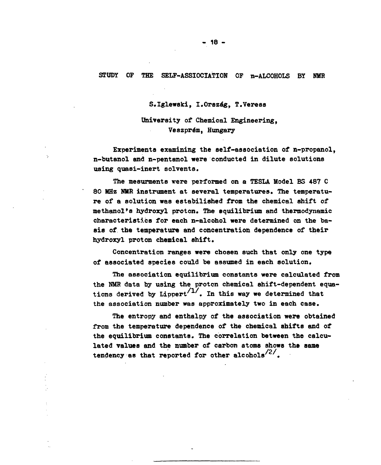#### **STUDY OP THE SELF-ASSIOCIATION OF n-ALCOHOLS BY NMR**

**S.Iglewski, I.Orszag, T.Veress**

**University of Chemical Engineering, Veszprém, Hungary**

**Experiments examining the self-association of n-propanol, n-butanol and n-pentanol were conducted in dilute solutions using quasi-inert solvents.**

**The mesurments were performed on a TESLA Model BS 487 C 80 MHz NMR instrument at several temperatures. The temperature of a solution was estabilished from the chemical shift of methanol's hydroxyl proton. The equilibrium and thermodynamic characteristics for each n-alcohol were determined on the basis of the temperature and concentration dependence of their hydroxyl proton chemical shift.**

**Concentration ranges were chosen such that only one type of associated species could be assumed in each solution.**

**The association equilibrium constants were calculated from the NMB data by using the proton chemical shift-dependent equa**tions derived by Lippert<sup> $/1/$ </sup>. In this way we determined that **the association number was approximately two in each case.**

**The entropy and enthalpy of the association were obtained from the temperature dependence of the chemical shifts and of the equilibrium constants. The correlation between the calculated values and the number of carbon atoms shows the same tendency as that reported for other alcohols**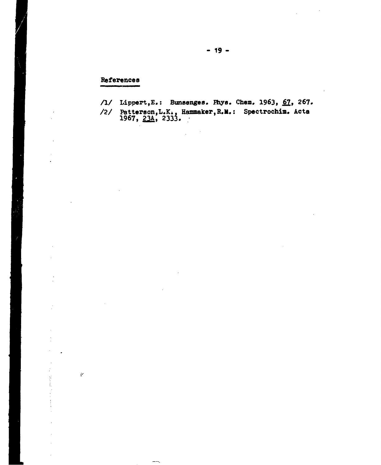#### **References**

 $\frac{1}{2}$ 

Ť  $\mathfrak{i}.$  /1/ Lippert, E.: Bunsenges. Phys. Chem. 1963, 67, 267.

/2/ Patterson, L.K., Hammaker, R.M.: Spectrochim. Acta **1967, £2A, 2333. ;**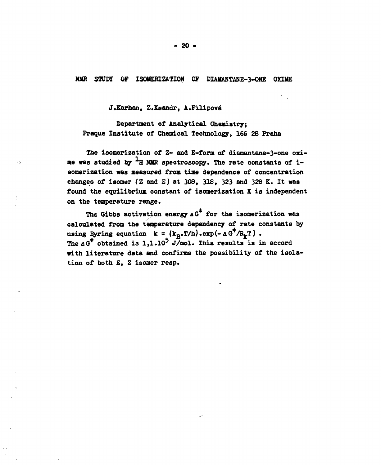**NMR STUDÏ OF ISOMERIZATION OF DIA1IANTANE-3-0NE OXUIE**

**J.Karhan, Z.Ksandr, A.Filipové**

УŊ,

**Department of Analytical Chemistry; Fraque Institute of Chemical Technology, 166 28 Praha**

The isomerization of Z- and E-form of diamantane-3-one oxi**me was studied by H NME spectroscopy. The rate constants of isomerization was measured from time dependence of concentration changes of isomer (Z and E) at 308, 318, 323 and 328 K. It was found the equilibrium constant of isomerization K is independent on the temperature range.**

**The Gibbs activation energy A G for the isomerization was calculated from the temperature dependency of rate constants by** using Eyring equation  $k = (k_{R^*}T/h) \cdot exp(-\Delta G^T/R_kT)$ . **ThedG\* obtained is 1,1.10<sup>5</sup> J/mol. This results is in accord with literature data and confirms the possibility of the isolation of both £, Z isomer reap.**

**- 20 -**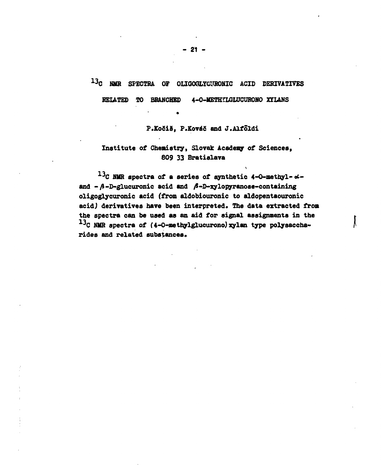# **1 3 C NMR SPECTRA OF OLIGOGLYCUHONIC ACID DERIVATIVES**

**BELATED TO BRANCHED 4-O-METHTLGLUCURONO 3GTLANS**

P.Kočiš, P.Kováč and J.Alfoldi

**- \***

## **Institute of Chemistry, Slovak Academy of Sciences, 809 33 Bratislava**

 $^{13}$ C BUR spectra of a series of synthetic 4-0-methyl- $\alpha$ and  $-A$ -D-glucuronic acid and  $A$ -D-xylopyranose-containing **oligoglycuronic acid (from aldobiouronic to aldopentaouronic acidj derivatives have been interpreted. The data extracted from the spectra can be used as an aid for signal assignments in the** <sup>13</sup>C NMR spectra of (4-0-methylglucurono) xylan type polysaccha**rides and related substances»**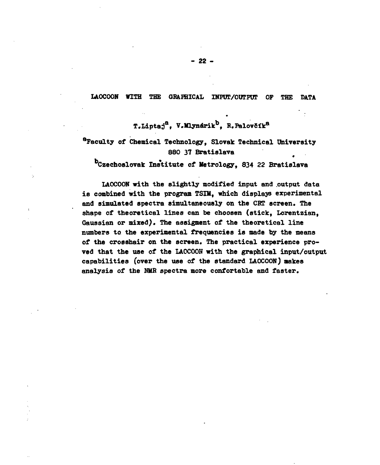#### **LAOCOON WITH THE GRAPHICAL INPUT/OUTPUT OF THE DATA**

**T.LiptaD<sup>a</sup>, V.Mlynarik<sup>b</sup>, R.Palovötk®**

# **faculty of Chemical Technology, Slovak Technical University 880 37 Bratislava**

**Czechoslovak Institute of Metrology, 834 22 Bratislava**

**LAOCOON with the slightly modified input and .output data is combined with the program TSIH, which displays experimental and simulated spectra simultaneously on the CRT screen. The shape of theoretical lines can be choosen (stick, Lorentzian, Gaussian or mixed). The assigment of the theoretical line numbers to the experimental frequencies is made by the means of the crosshair on the screen. The practical experience proved that the use of the LAOCOON with the graphical input/output capabilities (over the use of the standard LAOCOON) makes analysis of the NMR spectra more confortable and faster.**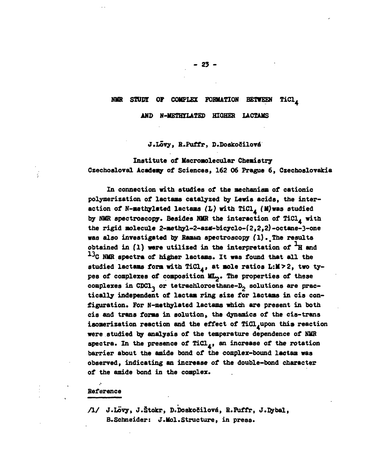#### **NMR STUOT OF COMPLEX FORMATION BETWEEN TiCl,**

**AND N-METHÏLATED HIGHER LACTAMS**

#### **J.Lóvy, R.Puffr, D.Doskoöilovó**

**Institute of Macroaolecular Chemistry Czechosloval Academy of Sciences, 162 06 Prague 6, Czechoslovakia**

**In connection with studies of the mechanism of cationic** polymerization of lactams catalyzed by Lewis acids, the inter**action of N-aethylated lactaas (L) with TiCl^ (M)was studied by NMR spectroscopy. Besides NMR the interaction of TiCl^ with** the rigid molecule 2-methyl-2-aza-bicyclo-(2,2,2)-octane-3-one **was also investigated by Raman spectroscopy fl)..The results** obtained in (1) were utilized in the interpretation of <sup> $+$ </sup>H and <sup>13</sup>C NMR spectra of higher lactams. It was found that all the studied lactams form with TiCl<sub>4</sub>, at mole ratios L:M>2, two ty**pes of complexes of composition ML^. The properties of these complexes in CDC1~ or tetrachloroethane-D2 solutions are practically independent of lactaa ring size for lactaas in cis configuration. For N-methylated lactama which are present in both cis and trans forms in solution, the dynamica of the cis-trans iaomerization reaction and the effect of Tid^upon this reaction were studied by analysis of the temperature dependence of NMR spectra. In the presence of TiCl., an increase of the rotation barrier about the amide bond of the complex-bound lactaa was observed, indicating an increase of the double-bond character of the amide bond in the complex.**

#### **Reference**

**A / J.Ló'vy, J.Stokr, D.Doskoöilové, R.Puffr, J. By bal, B.Schneider: J.Mol.Structure, in press.**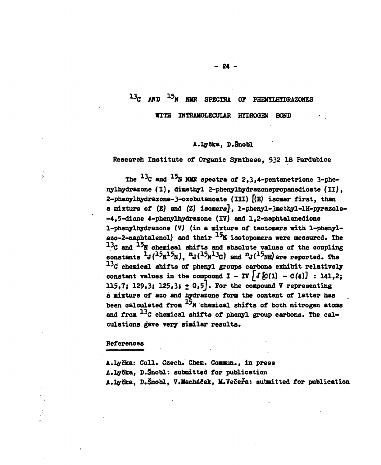# **1 3 C AND <sup>15</sup> N NIIR SPECTRA OF PHENYLHYDBAZONES**

**WITH INTRAHOLECUIAR HYDROGEN BONS**

#### **A.Igrëka, D.Snobl**

**Research Institute of Organic Synthese, 532 18 Pardubice**

The <sup>13</sup>C and <sup>17</sup>N NMR spectra of 2,3,4-pentanetrione 3-phe**nylhydrazone (I), dimethyl 2-phenylhydrazonepropanedioate (II), 2-phenylhydrazone-3-oxobutanoate (III) [(E) isomer first, than a mixture of (E) and (Z) isomersj, l-phenyl-3methyl-lH-pyrazole- -4,5-dione 4-phenylhydrazone (IV) and 1,2-naphtalenedione 1-phenylhydrazone 17) (in a mixture of tautomers with 1-phenyl**azo-2-naphtalenol) and their <sup>15</sup>N isotopomers were measured. The  $^{13}$ C and  $^{15}$ N chemical shifts and absolute values of the coupling  $\frac{1}{3}$   $\frac{1}{3}$   $\frac{15}{15}$   $\frac{15}{15}$  ),  $\frac{n}{3}$  ( $\frac{15}{13}$   $\frac{13}{2}$ ) and  $\frac{n}{3}$  ( $\frac{15}{15}$ ) are reported. The  $^{13}$ C chemical shifts of phenyl groups carbons exhibit relatively constant values in the compound  $I - IV \int \delta [C(1) - C(4)]$  : 141,2; 115,7; 129,3; 125,3;  $\pm$  0,5<sup>]</sup>. For the compound V representing **a mixture of azo and flydrazone form the content of latter has** been calculated from  $^{15}$ N chemical shifts of both nitrogen atoms **and from <sup>3</sup> C chemical shifts of phenyl group carbons. The cal**culations gave very similar results.

#### **References**

ŷ

**A.IyCka: Coll. Czech. Chem. Coanun., in press A.lySka, S.Snobl: submitted for publication A.I^Ska, D.Snobl, V.Machóöek, H.VeSefa: submitted for publication**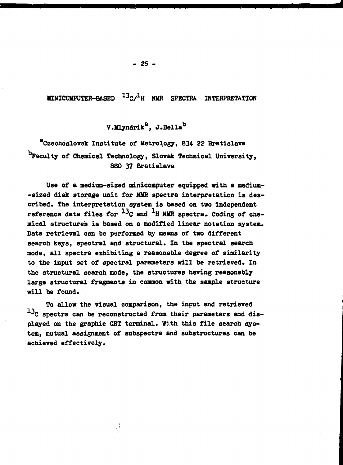**MINICOMPUTER-BASED <sup>13</sup>C/<sup>1</sup>H NMR SPECTRA INTERPRETATION**

# **V.Mlynérik<sup>8</sup>, J.Bella<sup>b</sup>**

**Czechoslovak Institute of Metrology, 834 22 Bratislava faculty of Chemical Technology, Slovak Technical University, 880 37 Bratislava**

**Use of a medium-sized minicomputer equipped with a medium- -sized disk storage unit for NMR spectra interpretation is described. The interpretation system is based on two independent** reference data files for <sup>13</sup>C and <sup>1</sup>H NMR spectra. Coding of che**mical structures is based on a modified linear notation system. Data retrieval can be performed by means of two different search keys, spectral and structural. In the spectral search mode, all spectra exhibiting a reasonable degree of similarity to the input set of spectral parameters will be retrieved. In the structural search mode, the structures having reasonably large structural fragments in common with the sample structure will be found.**

**To allow the visual comparison, the input and retrieved** <sup>13</sup>C spectra can be reconstructed from their parameters and dis**played on the graphic CRT terminal. With this file search system, mutual assignment of subspectra and substructures can be achieved effectively.**

₫.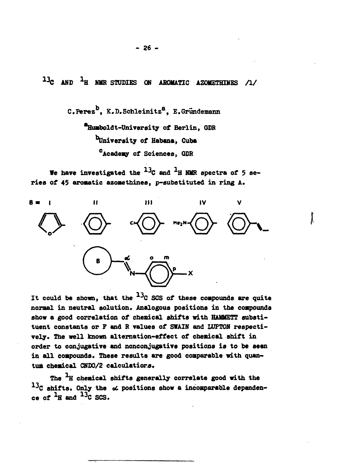**AND <sup>A</sup> H HMR STUDIES ON AROMATIC AZOMETHINES /!/**

C. Perez<sup>b</sup>, K.D. Schleinitz<sup>8</sup>, E. Gründemann **•Humboldt-Univereity of Berlin, GDR TJniversity of Habana, Cuba <sup>c</sup>Academy of Sciencest GDR**

We have investigated the  $^{13}$ C and  $^{1}$ H NMR spectra of 5 ae**ries of 45 aromatic azoaethines, p-subatituted in ring A.**



It could be shown, that the  $^{13}$ C SCS of these compounds are quite **normal in neutral solution\* Analogous positions in the compounds show a good correlation of chemical shifts with HAMMETT substituent constants or F and R values of SWAIN and LUPTON respectively. The well known alternation-effect of chemical shift in order to conjugative and nonconjugative positions is to be seen in all compounds. These results are good comparable with quantum chemical CNDO/2 calculations.**

The <sup>1</sup>H chemical shifts generally correlate good with the <sup>13</sup>C shifts. Only the  $\alpha$  positions show a incomparable dependen**ce** of  $^{1}$ H and  $^{13}$ C SCS.

**- 26 -**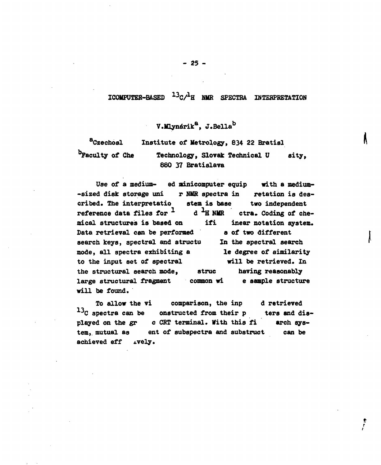#### **ICOMPÜTER-BASED <sup>13</sup> C/<sup>1</sup> H NMR SPECTRA INTERPRETATION**

# **V.ldynarik<sup>a</sup>, J.Bella<sup>b</sup>**

**<sup>a</sup>Czechosl Institute of Metrology, 834 22 Bratisl faculty of Che Technology, Slovak Technical ü sity, 880 37 Bratislava**

**Uae of a medium- ed minicomputer equip with a medium- -sized disk storage uni r NMR spectra in retation is described. The interpretatio stem is base two independent** reference data files for  $\frac{1}{1}$  d  $\frac{1}{1}$  NMR ctra. Coding of che**mical structures is based on ifi inear notation system.** Data retrieval can be performed a of two different **search keys, spectral and structu In the spectral search mode, all spectra exhibiting a le degree of similarity to the input set of spectral will be retrieved. In the structural search mode, struc having reasonably large structural fragment common wi e sample structure will be found.**

To allow the vi comparison, the inp d retrieved<br><sup>13</sup>C spectra can be onstructed from their p ters and d **enstructed from their p** ters and dis**played on the gr c CRT terminal. With this fi arch system, mutual as ent of subspectra and substruct can be achieved eff ±vely.**

> t t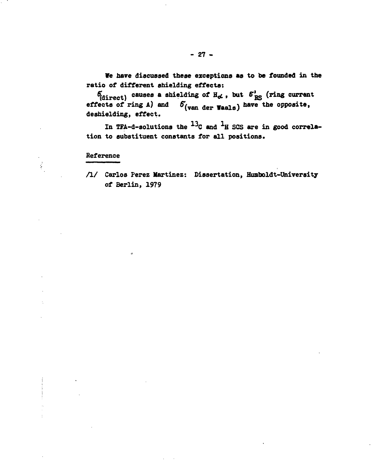We have discussed these exceptions as to be founded in the **ratio of different shielding effects:**

 $\delta^{\prime}_{\text{disrect}}$  causes a shielding of  $H_{\alpha}$ , but  $\delta^{\prime}_{RS}$  (ring current effects of ring  $A$ ) and  $\delta$  (van der Waals) have the opposite, **deshielding, effect.**

In TFA-d-solutions the  $^{13}$ C and  $^{1}$ H SCS are in good correlation to substituent constants for all positions.

#### **Reference**

 $\frac{3}{2}$ 

**/ I/ Carlos Perez Martinez: Dissertation, Humboldt-University of Berlin, 1979**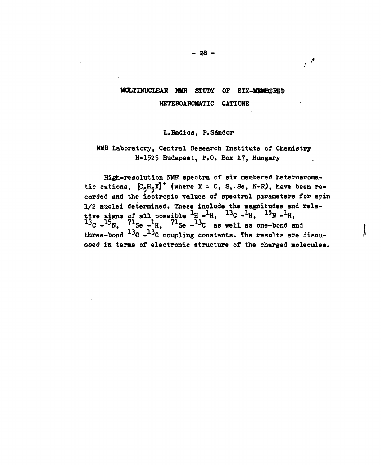# **UULTINUCLEAR NHR STUDY OF SIX-MEMBEBED KETEROABCMATIC CATIONS**

#### **L.Radios, P.Sendor**

### **NMR Laboratory, Central Research Institute of Chemistry H-1525 Budapest, P.O. Box 17, Hungary**

**High-resolution NMR spectra of six membered heteroaroma**tic cations,  $[C_5H_5X]^+$  (where  $X = 0$ , S,. Se, N-R), have been re**corded and the isotropic values of spectral parameters for spin 1/2 nuclei determined. These include the magnitudes and rela-** $\frac{1}{2}$  **i**  $\frac{1}{2}$  **c**  $\frac{1}{2}$  **c**  $\frac{1}{2}$  **c**  $\frac{1}{2}$  **c**  $\frac{1}{2}$  **c**  $\frac{1}{2}$  **c**  $\frac{1}{2}$  **c**  $\frac{1}{2}$  **c**  $\frac{1}{2}$  **c**  $\frac{1}{2}$  **c**  $\frac{1}{2}$  **c**  $\frac{1}{2}$  **c**  $\frac{1}{2}$  **c**  $\frac{1}{2}$  **c**  $\frac{1}{2}$  **1 3 C - 1 5 N, <sup>71</sup>Se - <sup>1</sup> H, <sup>71</sup>Se - 1 3 C as well as one-bond and three-bond <sup>3</sup> C - <sup>3</sup> C coupling constants. The results are discussed in terms of electronic structure of the charged molecules.**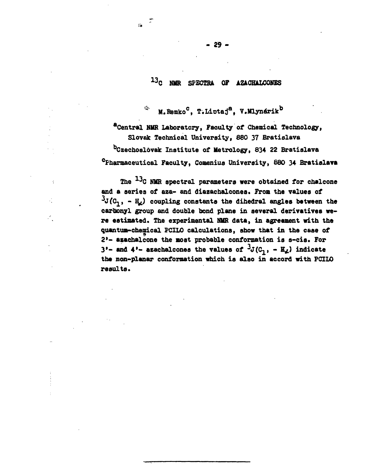# **13C MIR SPECTRA OF AZACHALCONES**

**\*" M.ltemko<sup>0</sup>, T.Liotaj<sup>a</sup>, V.Mlynarik<sup>b</sup>**

**^Central NlfR Laboratory, Faculty of Chemical Technology, Slovak Technical University, 880 37 Bratislava Czechoslovak Institute of Metrology, 834 22 Bratislava Pharmaceutical Faculty, Gomenius University, 880 34 Bratislava**

The <sup>13</sup>C NMR spectral parameters were obtained for chalcone **and a series of aza- and diazachalcones. From the values of**  $\frac{3J}{J}$ ( $C_1$ , -  $H_2$ ) coupling constants the dihedral angles between the **carbonyl group and double bond plane in several derivatives were estimated. The experimental NUR data, in agreement with the quantum-chemical PCILO calculations, show that in the case of 2'- asachalcone the most probable conformation is s-cis. For**  $3'$ - and  $4'$ - azachalcones the values of  $3J(C_1, -E_4)$  indicate **the non-planar conformation which is also in accord with PCILO results\***

i!»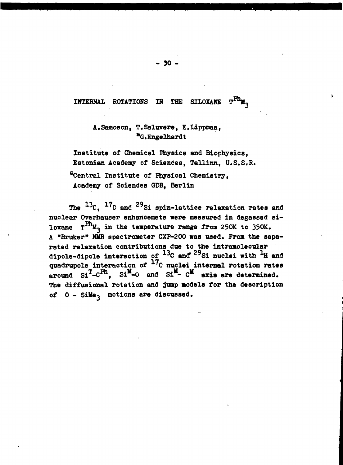#### **INTERNAL ROTATIONS IN THE SILOXANE**

## **A.Samoson, T.Saluvere, E.Lippmaa, <sup>a</sup>G.Engelhardt**

**Institute of Chemical Physics and Biophysics, Estonian Academy of Sciences, Tallinn, U.S.S.R. Central Institute of Physical Chemistry, Academy of Sciences GDR, Berlin**

**The ^ 0 and <sup>29</sup>Si spin-lattice relaxation rates and nuclear Overhauser enhancemets were measured in degassed siloxane**  $T^{Ph}M_2$  in the temperature range from 250K to 350K. **A "Bruker" NMR spectrometer CXP-200 was used. From the separated relaxation contributions due to the intramolecular dipole-dipole interaction of <sup>13</sup> C and" <sup>29</sup> Si nuclei with \*H and quadrupole interaction of '0 nuclei internal rotation rates** around  $\sin^T$ - $C^{Ph}$ ,  $\sin^M$ - $\theta$  and  $\sin^M$ -  $C^M$  axis are determined. **The diffusional rotation and jump models for the description of 0 - SiMe-, motions are discussed.**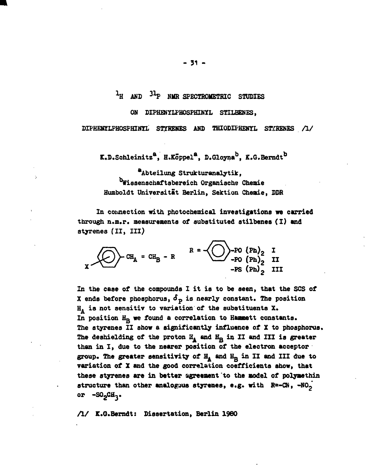**hl ANC <sup>31</sup> P NMR SPECTROMETRIC STUDIES**

#### **ON DIPHENYLPHOSPHINYL STILBENES.**

**DIPHENÏLPHOSPHINTL STYKEHES AND THIODIPHENYL STEHENES /!/**

**K.D.Schleinitz<sup>a</sup>, H.Koppel<sup>8</sup>, D.Gloyna , K.G.Berndt**

**<sup>a</sup>Abteilung Strukturanalytik, ^Wissenschaftsbereieh Organische Chemie Humboldt Universiteit Berlin, Sektion Chemie, DDR**

**In connection with photochemical investigations we carried through n.m.r. measurements of substituted stilbenes (I) and styrenes (II, III)**

$$
R = \bigodot_{PQ} - PO (Ph)_2
$$
  
or 
$$
CR_A = CH_B - R
$$
  

$$
R = \bigodot_{PQ} -PO (Ph)_2
$$
  

$$
-PS (Ph)_2
$$
II

**In the case of the compounds I it is to be aeen, that the SCS of X** ends before phosphorus,  $\delta_p$  is nearly constant. The position **£L is not sensitiv to variation of the substituents X» In position Hg we found a correlation to Hammett constants» The styrenes II show a significantly influence of X to phosphorus.** The deshielding of the proton  $H_A$  and  $H_B$  in II and III is greater **than in I, due to the nearer position of the electron acceptor group. The greater sensitivity of H^ and H Q in II and III due to variation of X and the good correlation coefficients show, that these styrenes are in better agreement to the model of polymethin** structure than other analogous styrenes, e.g. with  $R^2 - CN$ ,  $-NO_2$ <sup>2</sup> or -SO<sub>2</sub>CH<sub>3</sub>.

**/!/ K.O.Berndt: Dissertation, Berlin I960**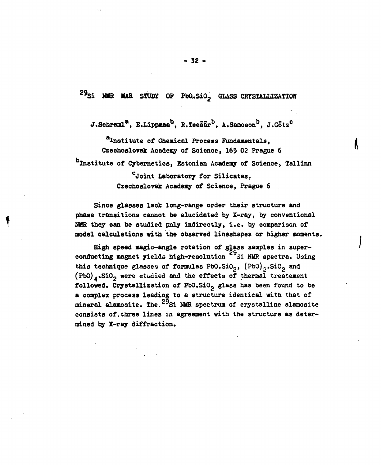**2 9 Si UUR MAR STUDY OF FbO..SiO2 GLASS CRYSTALLIZATION**

**J.Schraml<sup>8</sup>, E.Lippmaa , R.Teeaar<sup>b</sup>, A.Samoson<sup>b</sup>, J.Gotz<sup>0</sup>**

**<sup>a</sup>Institute of Chemical Process Fundamentals, i Czechoslovak Academy of Science, 165 02 Prague 6 Institute of Cybernetics, Estonian Academy of Science, Tallinn <sup>0</sup>Joint Laboratory for Silicates, Czechoslovak Academy of Science, Prague 6**

**Since glasses lack long-range order their structure and phase transitions cannot be elucidated by X-ray, by conventional NMR they can be studied pnly indirectly, i.e. by comparison of model calculations with the observed lineshapes or higher moments. .**

**High speed magic-angle rotation of glass samples in super- \*** conducting magnet yields high-resolution<sup>29</sup>Si NMR spectra. Using **this technique glasses of formulas PbO.SiOg, (PbQ)2.Si02 and (Pb0)4.Si02 were studied and the effects of thermal treatement followed. Crystallization of PbO.SiO2 glass has been found to be a complex process leading to a structure identical with that of** mineral alamosite. The <sup>29</sup>Si NMR spectrum of crystalline alamosite consists of, three lines in agreement with the structure as determined by X-ray diffraction.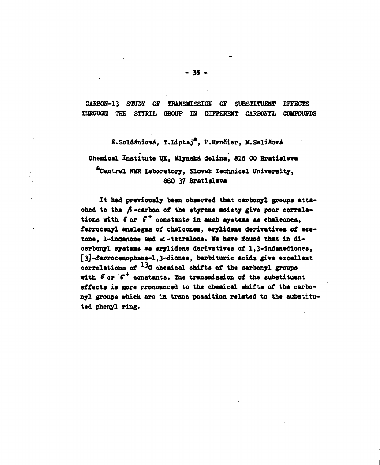**CARBON-13 STUDY OF TRANSMISSION OF SUBSTITUENT EFFECTS THROUGH THE STÏRIL GROUP IN DIFFERENT CARBON7L COMPOUNDS**

**E.Solöéniové, T.Liptaj<sup>a</sup>, F.HrnSiar, M.SaliSové Chemical Institute UK, Mlynské dolina, 816 00 Bratislava <sup>a</sup>Central NMR Laboratory, Slovak Technical University, 880 37 Bratislava**

**It had previously bean observed that carbonyl groups atta**ched to the  $\beta$ -carbon of the styrene moiety give poor correla**tions with 6" or f <sup>+</sup> constants in such syateaa as chalconea,** ferrocenyl analogus of chalcones, arylidene derivatives of acetone, l-indanone and  $\alpha$ -tetralone. We have found that in di**carbonyl systems aa arylidene derivatives of l,3\*indanedionea, [3]-ferrocenophane-l,3"dione8, barbituric acida give excellent** correlations of <sup>13</sup>C chemical shifts of the carbonyl groups with  $\delta$  or  $\delta^+$  constants. The transmission of the substituent **effects is more pronounced to the chemical shifts of the carbonyl groups which are in trans possition related to the substituted phenyl ring.**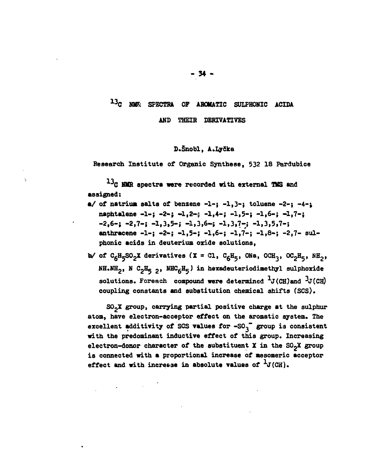# **1 3 C KM\* SPECTRA OF AROMATIC SULPHONIC ACIDA**

**AND THEIR DERIVATIVES**

#### **D.Snobl, A.Lyika**

**Research Institute of Organic Synthese, 532 18 Pardubice**

**\*G NMR spectra were recorded with external TMS and assigned:**

- **a/ of natrium salts of benzene -1-; -1,3-} toluene -2-; -4-,** naphtalene -1-; -2-; -1,2-; -1,4-; -1,5-; -1,6-; -1,7-; **-2,6-; -2,7-i -1,3,5-; -1,3,6-; -1,3,7-; -1,3,5,7-; anthracene -1-; -2-; -1,5-; -1,6-; -1,7-; -1,8-; -2,7- sulphonic acids in deuterium oxide solutions,**
- **W** of  $C_6H_5SO_2X$  derivatives (X = Cl,  $C_6H_5$ , ONa, OCH<sub>3</sub>, OC<sub>2</sub>H<sub>5</sub>, NH<sub>2</sub>, **NH.NH2, N C2B^ 2» NHCgH^ J in hèxadeuteriodinethyl sulphoxide solutions. Foreach compound were determined**  $^{1}$ **J(CH)and**  $^{3}$ **J(CH) coupling constants and substitution chemical shifts (SCS).**

**SOgX group, carrying partial positive charge at the sulphur atom, have electron-acceptor effect on the aromatic system. The** excellent additivity of SCS values for -SO<sub>3</sub> group is consistent **with the predominant inductive effect of this group. Increasing electron-donor character of the substituent X in the SOgX group is connected with a proportional increase of mesomeric acceptor** effect and with increase in absolute values of  $^1$ J(CH).

 $\mathcal{L}_{\text{max}}$  and  $\mathcal{L}_{\text{max}}$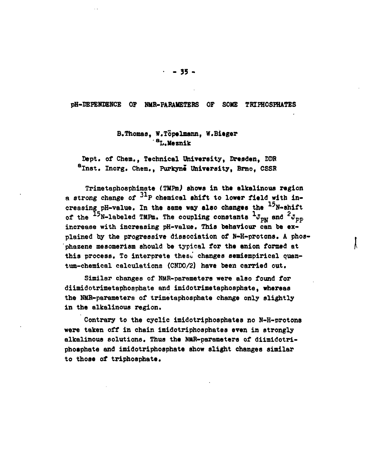#### **pH-DEPENDENCE OF NMR-PARAMETERS OF SOME TRIPHOSPHATES**

### **B.Thomas, W.Topelmann, W.Bitger <sup>a</sup>L.Meznik**

Dept. of Chem., Technical University, Dresden, DDR **<sup>a</sup>Inst. Inorg. Chem., Purkyne University, Brno, CSSR**

**Trimetaphosphiiaate (TMPmJ shows in the alkalinous region** a strong change of <sup>31</sup>P chemical shift to lower field with in**creasing pH-value. In the same way also changes the <sup>5</sup>N~shift**  $\sigma$  the <sup> $+2$ </sup>N-labeled TMPm. The coupling constants  ${}^4\mathrm{J}_{\mathrm{PN}}$  and  ${}^2\mathrm{J}_{\mathrm{PF}}$ **increase with increasing pH-value. This behaviour can be explained by the progressive dissociation of N-H-protons. A phos- 'phazene mesomerism should be typical for the anion formed at** this process. To interprete these changes semiempirical ouan**ttm-chemical calculations (CNDO/2) have been carried out.**

**Similar changes of NMR-parameters were also found for diimidotrimetaphosphate and imidotrimetaphosphate, whereas the NMR-parameters of trimetaphosphate change only slightly in the alkalinous region.**

**Contrary to the cyclic imidotriphosphates no N-H-protons were taken off in chain imidotriphoaphates even in strongly alkalinous solutions. Thus the NMR-parameters of diimidotriphosphate and imidotriphosphate show slight changes similar to those of triphoaphate.**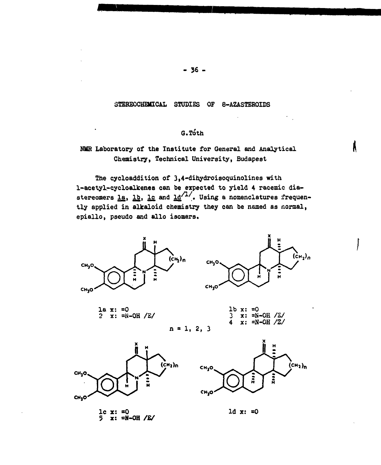#### STEREOCHEMICAL STUDIES OF 8-AZASTEROIDS

# **G.Toth**

**A** 

## **NUB Laboratory of the Institute for General and Analytical Chemistry, Technical University, Budapest**

**The cycloaddition of 3,4-dihydroisoquinolines with 1-acetyl-cycloalkenes can be expected to yield 4 racemic dia**stereomers la, lb, lc and  $1d^{/1/2}$ . Using a nomenclatures frequen**tly applied in alkaloid chemistry they can be named as normal, epiallo, pseudo and allo isomers.**



 $-36-$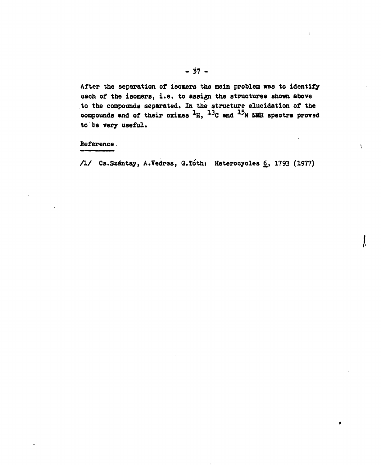**After the separation of isomers the main problem was to identify «ach of the isomers, i.e. to assign the structures shown above to the compounds separated. In the structure elucidation of the** compounds and of their oximes <sup>1</sup>H, <sup>13</sup>C and <sup>15</sup>N NMR spectra proved **to be very useful.**

**Deference.**

**Cs.Szantay, A.Vedres, Q.ïóth: Heterocycles 6,, 1793 (1977)**

ţ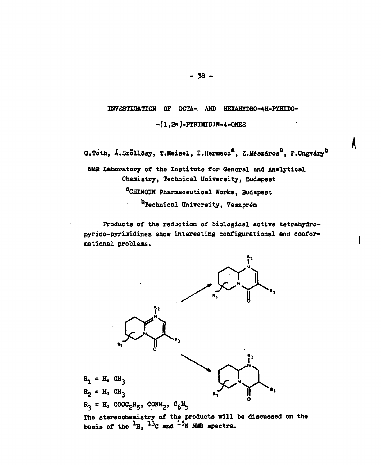# INVESTIGATION OF OCTA- AND HEXAHYDRO-4H-PYRIDO-

 $-(1, 2a)$ -PYRIMIDIN-4-ONES

G.Tóth, Á.Szöllösy, T.Meisel, I.Hermecz<sup>a</sup>, Z.Mészáros<sup>a</sup>, F.Ungváry<sup>b</sup>

 $\boldsymbol{\kappa}$ 

NMR Laboratory of the Institute for General and Analytical Chemistry, Technical University, Budapest aCHINOIN Pharmaceutical Works, Budapest b<sub>Technical</sub> University, Veszprém

Products of the reduction of biological active tetrahydropyrido-pyrimidines show interesting configurational and conformational problems.



basis of the  ${}^{+}H$ ,  ${}^{+}{}^{3}C$  and  ${}^{+}{}^{2}N$  NMR spectra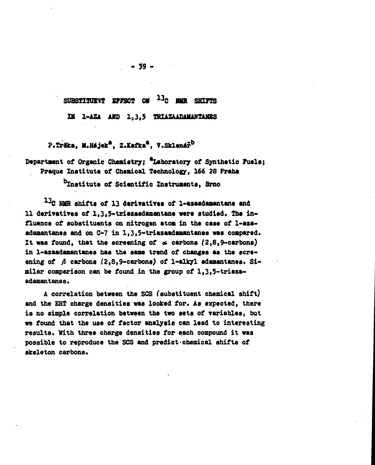SUBSTITUENT EFFECT ON <sup>13</sup>C INIR SHIFTS

**ZK 1-AZA AJTO 1<sup>9</sup> 3,5 THIAZAADA1UNTAHBS**

**P.TrSka, M.Héjek\*, Z.Kafka\*, V.Sklenar<sup>b</sup>**

# Department of Organic Chemistry; <sup>a</sup>Laboratory of Synthetic Fuels; **Praque Inatitute of Cheaical Technology, 166 28 Praha**

**institute of Scientific Instruments, Brno**

**1 3 C NMR shifts of 13 derivatives of 1-asaadamantane and** 11 derivatives of 1,3,5-triazaadamantane were studied. The in**fluence of aubstituents on nitrogen atom in the case of 1-azaadamantanes and on C-7 in 1,3,5-triazaadamantanes was compared. It was found, that the screening of ot carbons (2,8,9-carbons) in 1-azaadamantanes has the same trend of changes as.the scre**ening of A carbons (2.8.9-carbons) of 1-alkyl adamantanes. Si**milar comparison can be found in the group of 1,3,5-triaza**adamantanes.

**A correlation between the SCS fsubstituent chemical shift) and the EHT charge densities was looked for. As expected, there is no simple correlation between the two sets of variables, but we found that the use of factor analysis can lead to interesting results. With three charge densities for each compound it was possible to reproduce the SCS and predict-chemical shifts of skeleton carbons.**

**- 39 -**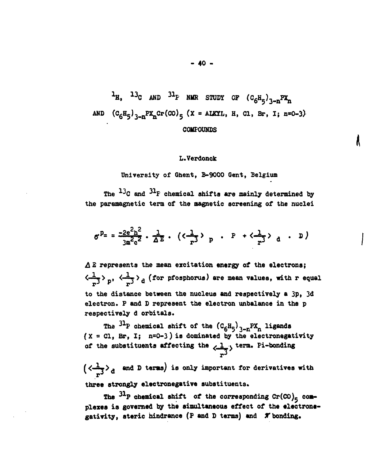$h$ **H**,  $h$ <sup>3</sup>C AND<sup>31</sup>**F** NMR STUDY OF  $(C_6H_5)_{3}$ AND  $(C_6H_5)_{3-n}PX_nCr(CO)_{5}$  (X = ALKYL, H, Cl, Br, I; n=0-3) **COMPOUNDS**

#### **L.Verdonck**

**II**

**University of Ghent, B-9000 Gent, Belgium**

**The <sup>13</sup> C and <sup>3</sup>\*F chemical shifts are mainly determined by the paramagnetic term of the magnetic screening of the nuclei**

$$
\sigma^{p} = \frac{-2e^{2}h^{2}}{3m^{2}c^{2}} \cdot \frac{1}{\Delta E} \cdot (\langle \frac{1}{r^{3}} \rangle_{p} \cdot P + \langle \frac{1}{r^{3}} \rangle_{d} \cdot D)
$$

**A B represents the mean excitation energy of the electrons;**  $\langle \frac{1}{-3} \rangle_p$ ,  $\langle \frac{1}{-3} \rangle_d$  (for pfosphorus) are mean values, with r equal **to the distance between the nucleus and respectively a 3p, 3d electron. P and D represent the electron unbalance in the p respectively d orbitals.**

**The <sup>31</sup> P chemical shift of the (C6H5)3-nPXft ligands (X = Cl, Br, I; n=0-3) is dominated by the electronegativity** of the substituents affecting the  $\langle \frac{1}{n^3} \rangle$  term. Pi-bonding

 $\left(\langle \frac{1}{n^3} \rangle_d \right)$  and D terms) is only important for derivatives with three strongly electronegative substituents.

The  $31P$  chemical shift of the corresponding  $Cr(CO)_5$  com**plexes is governed by the simultaneous effect of the electrone**gativity, steric hindrance (P and D terms) and  $\pi$  bonding.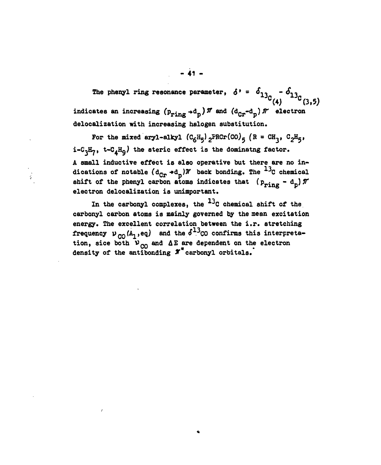**The phenyl ring resonance parameter,**  $\delta' = \phi_{12} - \phi_{13}$  $\begin{bmatrix} 4 \end{bmatrix}$  (3,5) indicates an increasing  $(p_{\texttt{ring}} + d_p)$   $\pi$  and  $(d_{\texttt{Gr}} - d_p)$   $\pi$  electron **delocalization with increasing halogen substitution.**

For the mixed aryl-alkyl  $(C_6H_5)$ <sub>2</sub>PRCr(CO)<sub>5</sub> (R = CH<sub>3</sub>, C<sub>2</sub>H<sub>5</sub>,  $i = C_3H_7$ ,  $t = C_AH_0$ ) the steric effect is the dominatng factor. A small inductive effect is also operative but there are no in**dications of notable (dCr ••d )V back bonding. The ^C chemical** shift of the phenyl carbon atoms indicates that  $(p_{\text{ring}} - d_{\text{p}})$   $\pi$ **electron delocalization is unimportant.**

In the carbonyl complexes, the <sup>13</sup>C chemical shift of the **carbonyl carbon atoms is mainly governed by the mean excitation energy. The excellent correlation between the i.r. stretching** frequency  $v_{\text{CO}}(A_1,eq)$  and the  $\delta^{13}$  confirms this interpreta**tion, sice both VQQ and AE are dependent on the electron density of the antibonding 3f carbonyl orbitals.**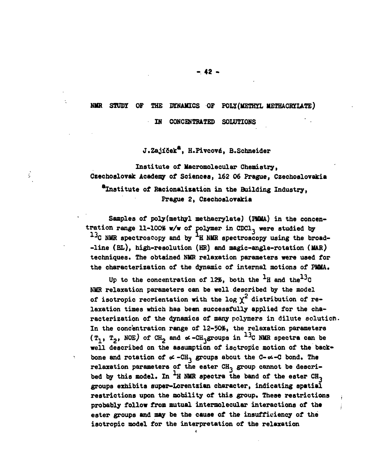#### **NMR STUDY OF THE DYNAMICS OF POLY/METHYL METHACRYLATE)**

**IN CONCENTRATED SOLUTIONS**

**J.Zajifiek", H.Pivcovó, B.Schneider**

**Institute of llacromolecular Chemistry, Czechoslovak Academy of Sciences, 162 06 Prague, Czechoslovakia •institute of Bacionalization in the Building Industry, Prague 2, Czechoslovakia**

Ş

Samples of poly(methyl methacrylate) (PMMA) in the concen**tration range 11-100% w/w of polymer in CDC1, were studied by <sup>J</sup>C NMR spectroscopy and by H NMR spectroscopy using the broad- -line (BL), high-resolution (HR) and magic-angle-rotation (MAR) techniques. The obtained NMR relaxation parameters were used for the characterization of the dynamic of internal motions of PMMA.**

Up to the concentration of 12%, both the  $^1$ H and the<sup>13</sup>C **NMR relaxation parameters can be well described by the model** of isotropic reorientation with the  $log \gamma^2$  distribution of re**laxation times which has been successfully applied for the characterization of the dynamics of many polymers in dilute solution.** In the concentration range of 12-50%, the relaxation parameters  $(T_1, T_2, NOE)$  of CH<sub>2</sub> and  $\alpha$ -CH<sub>3</sub>groups in  $^{13}$ C NMR spectra can be **well described on the assumption of isotropic motion of the back»** bone and rotation of  $\alpha$ -CH<sub>3</sub> groups about the C- $\alpha$ -C bond. The relaxation parameters of the ester CH<sub>3</sub> group cannot be described by this model. In  $H$  NMR spectra the band of the ester  $CH_2$ **groups exhibits auper-Lorentzian character, indicating spatial restrictions upon the mobility of this group. These restrictions probably follow from mutual intermolecular interactions of the • ester groups and may be the cause of the insufficiency of the isotropic model for the interpretation of the relaxation**